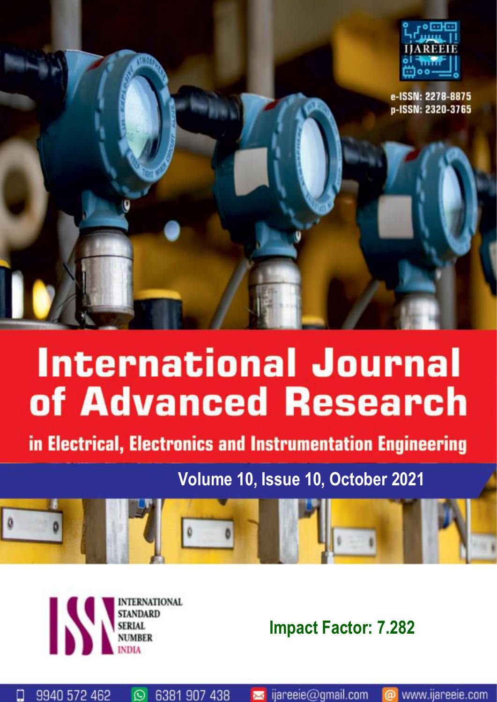

# **International Journal** of Advanced Research

in Electrical, Electronics and Instrumentation Engineering

### **Volume 10, Issue 10, October 2021**





 $\circledcirc$ 

6381 907 438

9940 572 462

О

**Impact Factor: 7.282**

www.ijareeie.com

ijareeie@gmail.com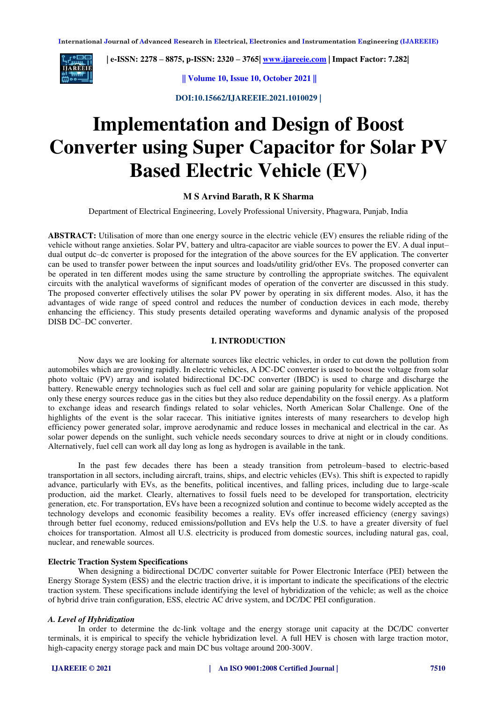

 **| e-ISSN: 2278 – 8875, p-ISSN: 2320 – 3765| [www.ijareeie.com](http://www.ijareeie.com/) | Impact Factor: 7.282|** 

**|| Volume 10, Issue 10, October 2021 ||** 

**DOI:10.15662/IJAREEIE.2021.1010029 |** 

## **Implementation and Design of Boost Converter using Super Capacitor for Solar PV Based Electric Vehicle (EV)**

#### **M S Arvind Barath, R K Sharma**

Department of Electrical Engineering, Lovely Professional University, Phagwara, Punjab, India

**ABSTRACT:** Utilisation of more than one energy source in the electric vehicle (EV) ensures the reliable riding of the vehicle without range anxieties. Solar PV, battery and ultra-capacitor are viable sources to power the EV. A dual input– dual output dc–dc converter is proposed for the integration of the above sources for the EV application. The converter can be used to transfer power between the input sources and loads/utility grid/other EVs. The proposed converter can be operated in ten different modes using the same structure by controlling the appropriate switches. The equivalent circuits with the analytical waveforms of significant modes of operation of the converter are discussed in this study. The proposed converter effectively utilises the solar PV power by operating in six different modes. Also, it has the advantages of wide range of speed control and reduces the number of conduction devices in each mode, thereby enhancing the efficiency. This study presents detailed operating waveforms and dynamic analysis of the proposed DISB DC–DC converter.

#### **I. INTRODUCTION**

Now days we are looking for alternate sources like electric vehicles, in order to cut down the pollution from automobiles which are growing rapidly. In electric vehicles, A DC-DC converter is used to boost the voltage from solar photo voltaic (PV) array and isolated bidirectional DC-DC converter (IBDC) is used to charge and discharge the battery. Renewable energy technologies such as fuel cell and solar are gaining popularity for vehicle application. Not only these energy sources reduce gas in the cities but they also reduce dependability on the fossil energy. As a platform to exchange ideas and research findings related to solar vehicles, North American Solar Challenge. One of the highlights of the event is the solar racecar. This initiative ignites interests of many researchers to develop high efficiency power generated solar, improve aerodynamic and reduce losses in mechanical and electrical in the car. As solar power depends on the sunlight, such vehicle needs secondary sources to drive at night or in cloudy conditions. Alternatively, fuel cell can work all day long as long as hydrogen is available in the tank.

In the past few decades there has been a steady transition from petroleum–based to electric-based transportation in all sectors, including aircraft, trains, ships, and electric vehicles (EVs). This shift is expected to rapidly advance, particularly with EVs, as the benefits, political incentives, and falling prices, including due to large-scale production, aid the market. Clearly, alternatives to fossil fuels need to be developed for transportation, electricity generation, etc. For transportation, EVs have been a recognized solution and continue to become widely accepted as the technology develops and economic feasibility becomes a reality. EVs offer increased efficiency (energy savings) through better fuel economy, reduced emissions/pollution and EVs help the U.S. to have a greater diversity of fuel choices for transportation. Almost all U.S. electricity is produced from domestic sources, including natural gas, coal, nuclear, and renewable sources.

#### **Electric Traction System Specifications**

When designing a bidirectional DC/DC converter suitable for Power Electronic Interface (PEI) between the Energy Storage System (ESS) and the electric traction drive, it is important to indicate the specifications of the electric traction system. These specifications include identifying the level of hybridization of the vehicle; as well as the choice of hybrid drive train configuration, ESS, electric AC drive system, and DC/DC PEI configuration.

#### *A. Level of Hybridization*

In order to determine the dc-link voltage and the energy storage unit capacity at the DC/DC converter terminals, it is empirical to specify the vehicle hybridization level. A full HEV is chosen with large traction motor, high-capacity energy storage pack and main DC bus voltage around 200-300V.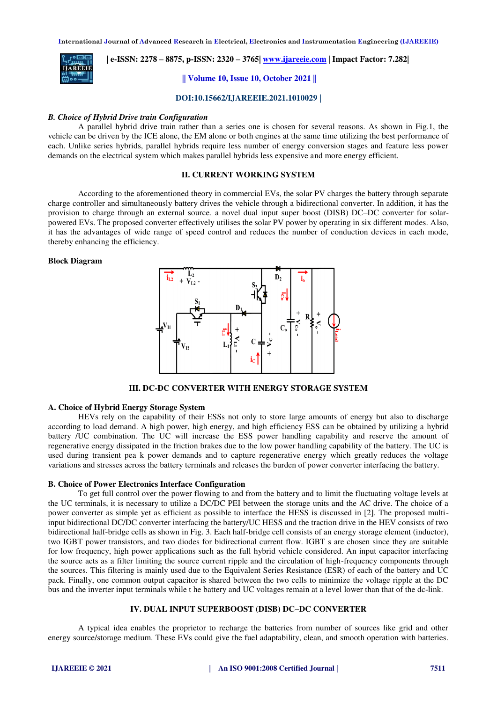

 **| e-ISSN: 2278 – 8875, p-ISSN: 2320 – 3765| [www.ijareeie.com](http://www.ijareeie.com/) | Impact Factor: 7.282|** 

**|| Volume 10, Issue 10, October 2021 ||** 

**DOI:10.15662/IJAREEIE.2021.1010029 |** 

#### *B. Choice of Hybrid Drive train Configuration*

A parallel hybrid drive train rather than a series one is chosen for several reasons. As shown in Fig.1, the vehicle can be driven by the ICE alone, the EM alone or both engines at the same time utilizing the best performance of each. Unlike series hybrids, parallel hybrids require less number of energy conversion stages and feature less power demands on the electrical system which makes parallel hybrids less expensive and more energy efficient.

#### **II. CURRENT WORKING SYSTEM**

According to the aforementioned theory in commercial EVs, the solar PV charges the battery through separate charge controller and simultaneously battery drives the vehicle through a bidirectional converter. In addition, it has the provision to charge through an external source. a novel dual input super boost (DISB) DC–DC converter for solarpowered EVs. The proposed converter effectively utilises the solar PV power by operating in six different modes. Also, it has the advantages of wide range of speed control and reduces the number of conduction devices in each mode, thereby enhancing the efficiency.

#### **Block Diagram**



**III. DC-DC CONVERTER WITH ENERGY STORAGE SYSTEM** 

#### **A. Choice of Hybrid Energy Storage System**

HEVs rely on the capability of their ESSs not only to store large amounts of energy but also to discharge according to load demand. A high power, high energy, and high efficiency ESS can be obtained by utilizing a hybrid battery /UC combination. The UC will increase the ESS power handling capability and reserve the amount of regenerative energy dissipated in the friction brakes due to the low power handling capability of the battery. The UC is used during transient pea k power demands and to capture regenerative energy which greatly reduces the voltage variations and stresses across the battery terminals and releases the burden of power converter interfacing the battery.

#### **B. Choice of Power Electronics Interface Configuration**

To get full control over the power flowing to and from the battery and to limit the fluctuating voltage levels at the UC terminals, it is necessary to utilize a DC/DC PEI between the storage units and the AC drive. The choice of a power converter as simple yet as efficient as possible to interface the HESS is discussed in [2]. The proposed multiinput bidirectional DC/DC converter interfacing the battery/UC HESS and the traction drive in the HEV consists of two bidirectional half-bridge cells as shown in Fig. 3. Each half-bridge cell consists of an energy storage element (inductor), two IGBT power transistors, and two diodes for bidirectional current flow. IGBT s are chosen since they are suitable for low frequency, high power applications such as the full hybrid vehicle considered. An input capacitor interfacing the source acts as a filter limiting the source current ripple and the circulation of high-frequency components through the sources. This filtering is mainly used due to the Equivalent Series Resistance (ESR) of each of the battery and UC pack. Finally, one common output capacitor is shared between the two cells to minimize the voltage ripple at the DC bus and the inverter input terminals while t he battery and UC voltages remain at a level lower than that of the dc-link.

#### **IV. DUAL INPUT SUPERBOOST (DISB) DC–DC CONVERTER**

A typical idea enables the proprietor to recharge the batteries from number of sources like grid and other energy source/storage medium. These EVs could give the fuel adaptability, clean, and smooth operation with batteries.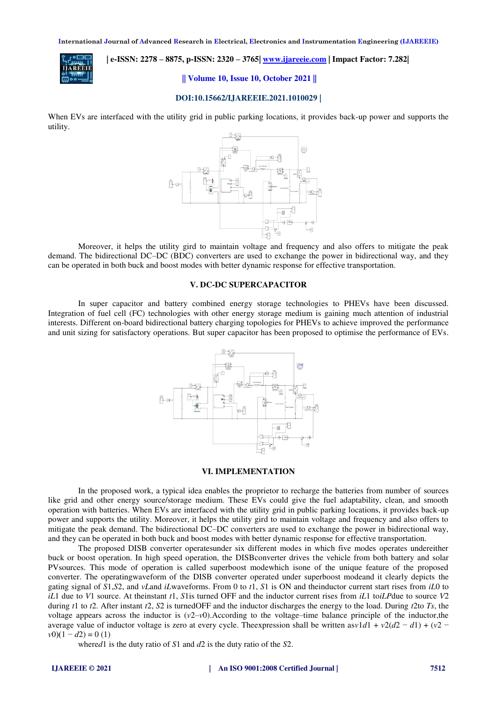

 **| e-ISSN: 2278 – 8875, p-ISSN: 2320 – 3765| [www.ijareeie.com](http://www.ijareeie.com/) | Impact Factor: 7.282|** 

**|| Volume 10, Issue 10, October 2021 ||** 

#### **DOI:10.15662/IJAREEIE.2021.1010029 |**

When EVs are interfaced with the utility grid in public parking locations, it provides back-up power and supports the utility.



Moreover, it helps the utility gird to maintain voltage and frequency and also offers to mitigate the peak demand. The bidirectional DC–DC (BDC) converters are used to exchange the power in bidirectional way, and they can be operated in both buck and boost modes with better dynamic response for effective transportation.

#### **V. DC-DC SUPERCAPACITOR**

In super capacitor and battery combined energy storage technologies to PHEVs have been discussed. Integration of fuel cell (FC) technologies with other energy storage medium is gaining much attention of industrial interests. Different on-board bidirectional battery charging topologies for PHEVs to achieve improved the performance and unit sizing for satisfactory operations. But super capacitor has been proposed to optimise the performance of EVs.



#### **VI. IMPLEMENTATION**

In the proposed work, a typical idea enables the proprietor to recharge the batteries from number of sources like grid and other energy source/storage medium. These EVs could give the fuel adaptability, clean, and smooth operation with batteries. When EVs are interfaced with the utility grid in public parking locations, it provides back-up power and supports the utility. Moreover, it helps the utility gird to maintain voltage and frequency and also offers to mitigate the peak demand. The bidirectional DC–DC converters are used to exchange the power in bidirectional way, and they can be operated in both buck and boost modes with better dynamic response for effective transportation.

The proposed DISB converter operatesunder six different modes in which five modes operates undereither buck or boost operation. In high speed operation, the DISBconverter drives the vehicle from both battery and solar PVsources. This mode of operation is called superboost modewhich isone of the unique feature of the proposed converter. The operatingwaveform of the DISB converter operated under superboost modeand it clearly depicts the gating signal of *S*1,*S*2, and *vL*and *iL*waveforms. From 0 to *t*1, *S*1 is ON and theinductor current start rises from *iL*0 to *iL*1 due to *V*1 source. At theinstant *t*1, *S*1is turned OFF and the inductor current rises from *iL*1 to*iLP*due to source *V*2 during *t*1 to *t*2. After instant *t*2, *S*2 is turnedOFF and the inductor discharges the energy to the load. During *t*2to *Ts*, the voltage appears across the inductor is  $(v2-v0)$ . According to the voltage–time balance principle of the inductor,the average value of inductor voltage is zero at every cycle. The expression shall be written as  $v1d1 + v2(d2 - d1) + (v2 - d1)$  $v(0)(1 - d(2)) = 0$  (1)

where*d*1 is the duty ratio of *S*1 and *d*2 is the duty ratio of the *S*2.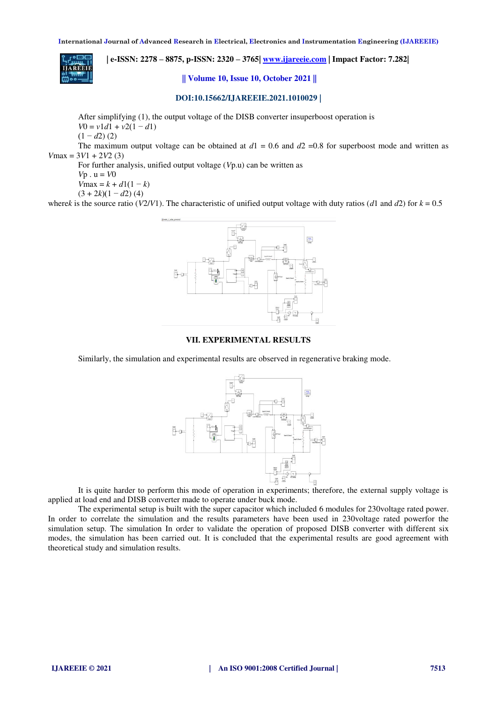**| e-ISSN: 2278 – 8875, p-ISSN: 2320 – 3765| [www.ijareeie.com](http://www.ijareeie.com/) | Impact Factor: 7.282|** 

**|| Volume 10, Issue 10, October 2021 ||** 

#### **DOI:10.15662/IJAREEIE.2021.1010029 |**

After simplifying (1), the output voltage of the DISB converter insuperboost operation is

 $V0 = v1d1 + v2(1 - d1)$ 

$$
(1-d2)(2)
$$

The maximum output voltage can be obtained at  $d1 = 0.6$  and  $d2 = 0.8$  for superboost mode and written as  $V$ max = 3 $V$ 1 + 2 $V$ 2 (3)

For further analysis, unified output voltage (*V*p.u) can be written as

 $Vp \cdot u = V0$ 

*V*max =  $k + d1(1 - k)$ 

 $(3 + 2k)(1 - d2)$  (4)

where*k* is the source ratio ( $V2/V1$ ). The characteristic of unified output voltage with duty ratios (*d*1 and *d*2) for  $k = 0.5$ 



#### **VII. EXPERIMENTAL RESULTS**

Similarly, the simulation and experimental results are observed in regenerative braking mode.



It is quite harder to perform this mode of operation in experiments; therefore, the external supply voltage is applied at load end and DISB converter made to operate under buck mode.

The experimental setup is built with the super capacitor which included 6 modules for 230voltage rated power. In order to correlate the simulation and the results parameters have been used in 230voltage rated powerfor the simulation setup. The simulation In order to validate the operation of proposed DISB converter with different six modes, the simulation has been carried out. It is concluded that the experimental results are good agreement with theoretical study and simulation results.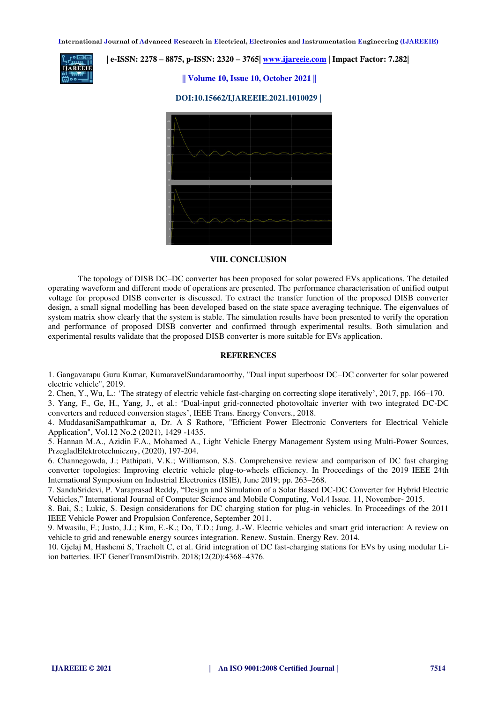

#### **| e-ISSN: 2278 – 8875, p-ISSN: 2320 – 3765| [www.ijareeie.com](http://www.ijareeie.com/) | Impact Factor: 7.282|**

**|| Volume 10, Issue 10, October 2021 ||** 

#### **DOI:10.15662/IJAREEIE.2021.1010029 |**



#### **VIII. CONCLUSION**

The topology of DISB DC–DC converter has been proposed for solar powered EVs applications. The detailed operating waveform and different mode of operations are presented. The performance characterisation of unified output voltage for proposed DISB converter is discussed. To extract the transfer function of the proposed DISB converter design, a small signal modelling has been developed based on the state space averaging technique. The eigenvalues of system matrix show clearly that the system is stable. The simulation results have been presented to verify the operation and performance of proposed DISB converter and confirmed through experimental results. Both simulation and experimental results validate that the proposed DISB converter is more suitable for EVs application.

#### **REFERENCES**

1. Gangavarapu Guru Kumar, KumaravelSundaramoorthy, "Dual input superboost DC–DC converter for solar powered electric vehicle", 2019.

2. Chen, Y., Wu, L.: 'The strategy of electric vehicle fast-charging on correcting slope iteratively', 2017, pp. 166–170.

3. Yang, F., Ge, H., Yang, J., et al.: 'Dual-input grid-connected photovoltaic inverter with two integrated DC-DC converters and reduced conversion stages', IEEE Trans. Energy Convers., 2018.

4. MuddasaniSampathkumar a, Dr. A S Rathore, "Efficient Power Electronic Converters for Electrical Vehicle Application", Vol.12 No.2 (2021), 1429 -1435.

5. Hannan M.A., Azidin F.A., Mohamed A., Light Vehicle Energy Management System using Multi-Power Sources, PrzegladElektrotechniczny, (2020), 197-204.

6. Channegowda, J.; Pathipati, V.K.; Williamson, S.S. Comprehensive review and comparison of DC fast charging converter topologies: Improving electric vehicle plug-to-wheels efficiency. In Proceedings of the 2019 IEEE 24th International Symposium on Industrial Electronics (ISIE), June 2019; pp. 263–268.

7. SanduSridevi, P. Varaprasad Reddy, "Design and Simulation of a Solar Based DC-DC Converter for Hybrid Electric Vehicles," International Journal of Computer Science and Mobile Computing, Vol.4 Issue. 11, November- 2015.

8. Bai, S.; Lukic, S. Design considerations for DC charging station for plug-in vehicles. In Proceedings of the 2011 IEEE Vehicle Power and Propulsion Conference, September 2011.

9. Mwasilu, F.; Justo, J.J.; Kim, E.-K.; Do, T.D.; Jung, J.-W. Electric vehicles and smart grid interaction: A review on vehicle to grid and renewable energy sources integration. Renew. Sustain. Energy Rev. 2014.

10. Gjelaj M, Hashemi S, Traeholt C, et al. Grid integration of DC fast-charging stations for EVs by using modular Liion batteries. IET GenerTransmDistrib. 2018;12(20):4368–4376.